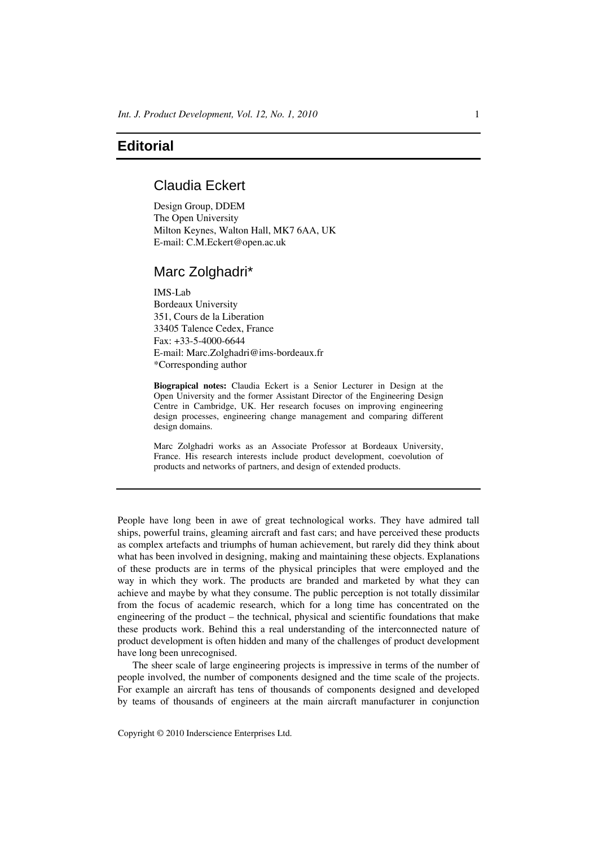# **Editorial**

# Claudia Eckert

Design Group, DDEM The Open University Milton Keynes, Walton Hall, MK7 6AA, UK E-mail: C.M.Eckert@open.ac.uk

## Marc Zolghadri\*

IMS-Lab Bordeaux University 351, Cours de la Liberation 33405 Talence Cedex, France Fax: +33-5-4000-6644 E-mail: Marc.Zolghadri@ims-bordeaux.fr \*Corresponding author

**Biograpical notes:** Claudia Eckert is a Senior Lecturer in Design at the Open University and the former Assistant Director of the Engineering Design Centre in Cambridge, UK. Her research focuses on improving engineering design processes, engineering change management and comparing different design domains.

Marc Zolghadri works as an Associate Professor at Bordeaux University, France. His research interests include product development, coevolution of products and networks of partners, and design of extended products.

People have long been in awe of great technological works. They have admired tall ships, powerful trains, gleaming aircraft and fast cars; and have perceived these products as complex artefacts and triumphs of human achievement, but rarely did they think about what has been involved in designing, making and maintaining these objects. Explanations of these products are in terms of the physical principles that were employed and the way in which they work. The products are branded and marketed by what they can achieve and maybe by what they consume. The public perception is not totally dissimilar from the focus of academic research, which for a long time has concentrated on the engineering of the product – the technical, physical and scientific foundations that make these products work. Behind this a real understanding of the interconnected nature of product development is often hidden and many of the challenges of product development have long been unrecognised.

The sheer scale of large engineering projects is impressive in terms of the number of people involved, the number of components designed and the time scale of the projects. For example an aircraft has tens of thousands of components designed and developed by teams of thousands of engineers at the main aircraft manufacturer in conjunction

Copyright © 2010 Inderscience Enterprises Ltd.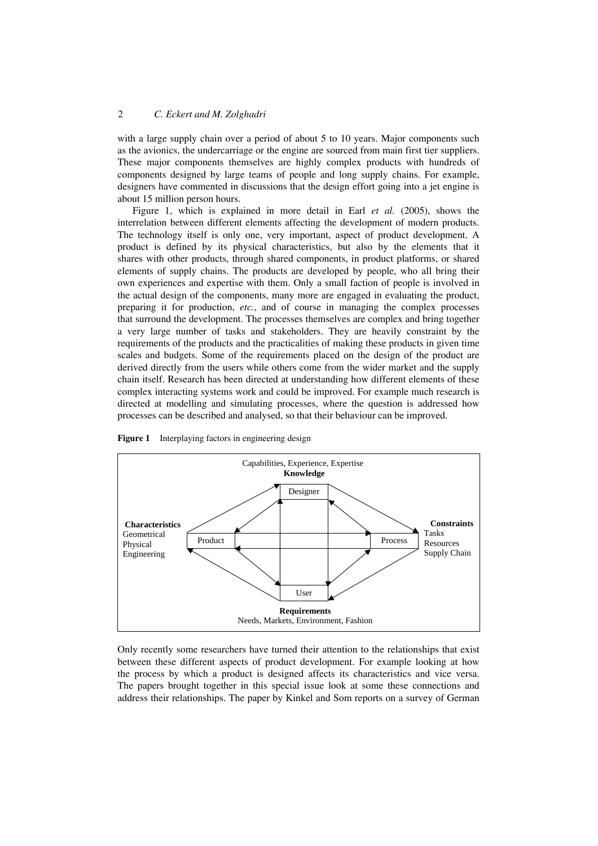## 2 *C. Eckert and M. Zolghadri*

with a large supply chain over a period of about 5 to 10 years. Major components such as the avionics, the undercarriage or the engine are sourced from main first tier suppliers. These major components themselves are highly complex products with hundreds of components designed by large teams of people and long supply chains. For example, designers have commented in discussions that the design effort going into a jet engine is about 15 million person hours.

Figure 1, which is explained in more detail in Earl *et al.* (2005), shows the interrelation between different elements affecting the development of modern products. The technology itself is only one, very important, aspect of product development. A product is defined by its physical characteristics, but also by the elements that it shares with other products, through shared components, in product platforms, or shared elements of supply chains. The products are developed by people, who all bring their own experiences and expertise with them. Only a small faction of people is involved in the actual design of the components, many more are engaged in evaluating the product, preparing it for production, *etc.*, and of course in managing the complex processes that surround the development. The processes themselves are complex and bring together a very large number of tasks and stakeholders. They are heavily constraint by the requirements of the products and the practicalities of making these products in given time scales and budgets. Some of the requirements placed on the design of the product are derived directly from the users while others come from the wider market and the supply chain itself. Research has been directed at understanding how different elements of these complex interacting systems work and could be improved. For example much research is directed at modelling and simulating processes, where the question is addressed how processes can be described and analysed, so that their behaviour can be improved.



**Figure 1** Interplaying factors in engineering design

Only recently some researchers have turned their attention to the relationships that exist between these different aspects of product development. For example looking at how the process by which a product is designed affects its characteristics and vice versa. The papers brought together in this special issue look at some these connections and address their relationships. The paper by Kinkel and Som reports on a survey of German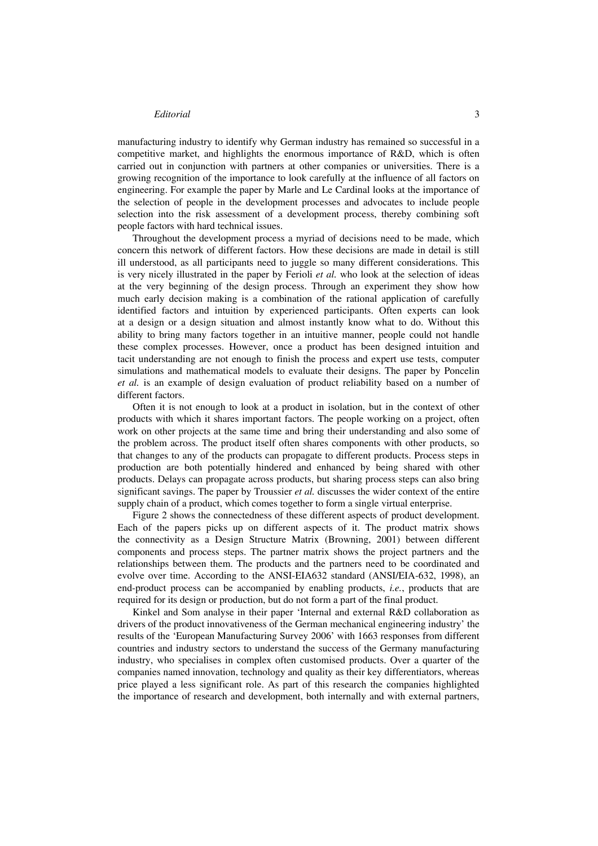### *Editorial* 3

manufacturing industry to identify why German industry has remained so successful in a competitive market, and highlights the enormous importance of R&D, which is often carried out in conjunction with partners at other companies or universities. There is a growing recognition of the importance to look carefully at the influence of all factors on engineering. For example the paper by Marle and Le Cardinal looks at the importance of the selection of people in the development processes and advocates to include people selection into the risk assessment of a development process, thereby combining soft people factors with hard technical issues.

Throughout the development process a myriad of decisions need to be made, which concern this network of different factors. How these decisions are made in detail is still ill understood, as all participants need to juggle so many different considerations. This is very nicely illustrated in the paper by Ferioli *et al.* who look at the selection of ideas at the very beginning of the design process. Through an experiment they show how much early decision making is a combination of the rational application of carefully identified factors and intuition by experienced participants. Often experts can look at a design or a design situation and almost instantly know what to do. Without this ability to bring many factors together in an intuitive manner, people could not handle these complex processes. However, once a product has been designed intuition and tacit understanding are not enough to finish the process and expert use tests, computer simulations and mathematical models to evaluate their designs. The paper by Poncelin *et al.* is an example of design evaluation of product reliability based on a number of different factors.

Often it is not enough to look at a product in isolation, but in the context of other products with which it shares important factors. The people working on a project, often work on other projects at the same time and bring their understanding and also some of the problem across. The product itself often shares components with other products, so that changes to any of the products can propagate to different products. Process steps in production are both potentially hindered and enhanced by being shared with other products. Delays can propagate across products, but sharing process steps can also bring significant savings. The paper by Troussier *et al.* discusses the wider context of the entire supply chain of a product, which comes together to form a single virtual enterprise.

Figure 2 shows the connectedness of these different aspects of product development. Each of the papers picks up on different aspects of it. The product matrix shows the connectivity as a Design Structure Matrix (Browning, 2001) between different components and process steps. The partner matrix shows the project partners and the relationships between them. The products and the partners need to be coordinated and evolve over time. According to the ANSI-EIA632 standard (ANSI/EIA-632, 1998), an end-product process can be accompanied by enabling products, *i.e.*, products that are required for its design or production, but do not form a part of the final product.

Kinkel and Som analyse in their paper 'Internal and external R&D collaboration as drivers of the product innovativeness of the German mechanical engineering industry' the results of the 'European Manufacturing Survey 2006' with 1663 responses from different countries and industry sectors to understand the success of the Germany manufacturing industry, who specialises in complex often customised products. Over a quarter of the companies named innovation, technology and quality as their key differentiators, whereas price played a less significant role. As part of this research the companies highlighted the importance of research and development, both internally and with external partners,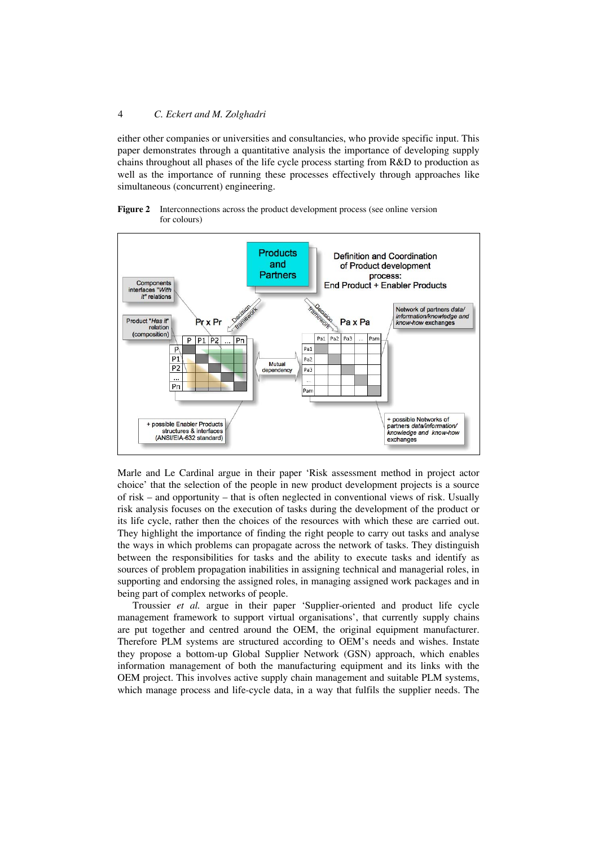## 4 *C. Eckert and M. Zolghadri*

either other companies or universities and consultancies, who provide specific input. This paper demonstrates through a quantitative analysis the importance of developing supply chains throughout all phases of the life cycle process starting from R&D to production as well as the importance of running these processes effectively through approaches like simultaneous (concurrent) engineering.

#### **Figure 2** Interconnections across the product development process (see online version for colours)



Marle and Le Cardinal argue in their paper 'Risk assessment method in project actor choice' that the selection of the people in new product development projects is a source of risk – and opportunity – that is often neglected in conventional views of risk. Usually risk analysis focuses on the execution of tasks during the development of the product or its life cycle, rather then the choices of the resources with which these are carried out. They highlight the importance of finding the right people to carry out tasks and analyse the ways in which problems can propagate across the network of tasks. They distinguish between the responsibilities for tasks and the ability to execute tasks and identify as sources of problem propagation inabilities in assigning technical and managerial roles, in supporting and endorsing the assigned roles, in managing assigned work packages and in being part of complex networks of people.

Troussier *et al.* argue in their paper 'Supplier-oriented and product life cycle management framework to support virtual organisations', that currently supply chains are put together and centred around the OEM, the original equipment manufacturer. Therefore PLM systems are structured according to OEM's needs and wishes. Instate they propose a bottom-up Global Supplier Network (GSN) approach, which enables information management of both the manufacturing equipment and its links with the OEM project. This involves active supply chain management and suitable PLM systems, which manage process and life-cycle data, in a way that fulfils the supplier needs. The